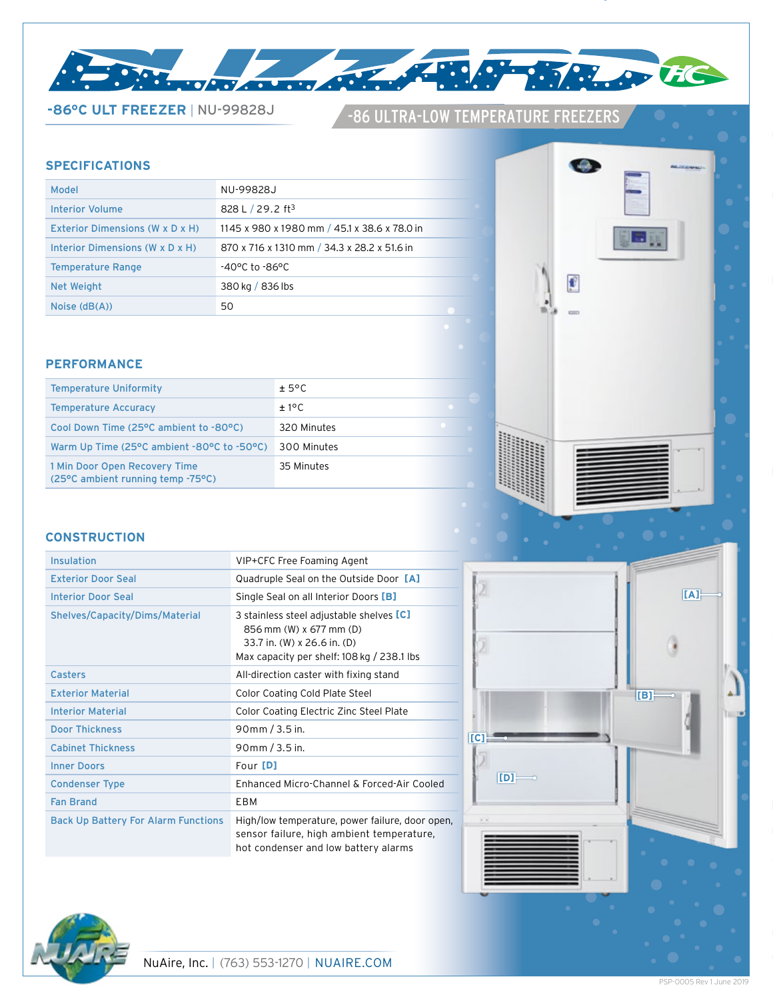

# -86 ULTRA-LOW TEMPERATURE FREEZERS **-86°C ULT FREEZER** <sup>|</sup> NU-99828J

# **SPECIFICATIONS**

| Model                           | NU-99828J                                    |
|---------------------------------|----------------------------------------------|
| Interior Volume                 | 828 L $/$ 29.2 ft <sup>3</sup>               |
| Exterior Dimensions (W x D x H) | 1145 x 980 x 1980 mm / 45.1 x 38.6 x 78.0 in |
| Interior Dimensions (W x D x H) | 870 x 716 x 1310 mm / 34.3 x 28.2 x 51.6 in  |
| <b>Temperature Range</b>        | -40°C to -86°C                               |
| Net Weight                      | 380 kg / 836 lbs                             |
| Noise $(dB(A))$                 | 50                                           |

#### **PERFORMANCE**

| <b>Temperature Uniformity</b>                                      | ± 5°C       |
|--------------------------------------------------------------------|-------------|
| <b>Temperature Accuracy</b>                                        | ±1°C        |
| Cool Down Time (25°C ambient to -80°C)                             | 320 Minutes |
| Warm Up Time (25°C ambient -80°C to -50°C)                         | 300 Minutes |
| 1 Min Door Open Recovery Time<br>(25°C ambient running temp -75°C) | 35 Minutes  |

**COL** 

£

u.

# **CONSTRUCTION**

| Insulation                                 | VIP+CFC Free Foaming Agent                                                                                                                       |
|--------------------------------------------|--------------------------------------------------------------------------------------------------------------------------------------------------|
| <b>Exterior Door Seal</b>                  | Quadruple Seal on the Outside Door [A]                                                                                                           |
| <b>Interior Door Seal</b>                  | Single Seal on all Interior Doors [B]                                                                                                            |
| Shelves/Capacity/Dims/Material             | 3 stainless steel adjustable shelves [C]<br>856 mm (W) x 677 mm (D)<br>33.7 in. (W) x 26.6 in. (D)<br>Max capacity per shelf: 108 kg / 238.1 lbs |
| <b>Casters</b>                             | All-direction caster with fixing stand                                                                                                           |
| <b>Exterior Material</b>                   | Color Coating Cold Plate Steel                                                                                                                   |
| <b>Interior Material</b>                   | Color Coating Electric Zinc Steel Plate                                                                                                          |
| <b>Door Thickness</b>                      | 90mm / 3.5 in.                                                                                                                                   |
| <b>Cabinet Thickness</b>                   | 90mm / 3.5 in.                                                                                                                                   |
| <b>Inner Doors</b>                         | Four [D]                                                                                                                                         |
| <b>Condenser Type</b>                      | Enhanced Micro-Channel & Forced-Air Cooled                                                                                                       |
| <b>Fan Brand</b>                           | EBM                                                                                                                                              |
| <b>Back Up Battery For Alarm Functions</b> | High/low temperature, power failure, door open,<br>sensor failure, high ambient temperature,<br>hot condenser and low battery alarms             |



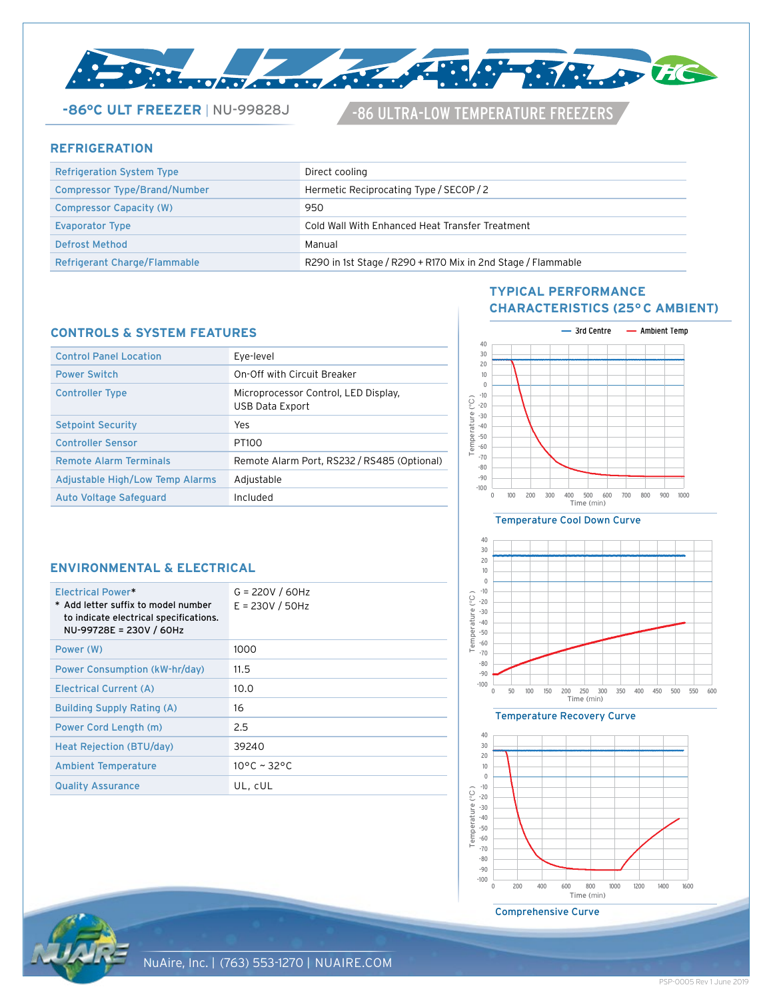

**-86°C ULT FREEZER | NU-99828J 486 ULTRA-LOW TEMPERATURE FREEZERS** 

### **REFRIGERATION**

| <b>Refrigeration System Type</b> | Direct cooling                                               |
|----------------------------------|--------------------------------------------------------------|
| Compressor Type/Brand/Number     | Hermetic Reciprocating Type / SECOP / 2                      |
| <b>Compressor Capacity (W)</b>   | 950                                                          |
| <b>Evaporator Type</b>           | Cold Wall With Enhanced Heat Transfer Treatment              |
| Defrost Method                   | Manual                                                       |
| Refrigerant Charge/Flammable     | R290 in 1st Stage / R290 + R170 Mix in 2nd Stage / Flammable |

#### **CONTROLS & SYSTEM FEATURES**

| <b>Control Panel Location</b>   | Eye-level                                               |
|---------------------------------|---------------------------------------------------------|
| <b>Power Switch</b>             | On-Off with Circuit Breaker                             |
| <b>Controller Type</b>          | Microprocessor Control, LED Display,<br>USB Data Export |
| <b>Setpoint Security</b>        | Yes                                                     |
| <b>Controller Sensor</b>        | PT <sub>100</sub>                                       |
| <b>Remote Alarm Terminals</b>   | Remote Alarm Port, RS232 / RS485 (Optional)             |
| Adjustable High/Low Temp Alarms | Adjustable                                              |
| <b>Auto Voltage Safeguard</b>   | Included                                                |
|                                 |                                                         |

# **TYPICAL PERFORMANCE CHARACTERISTICS (25° C AMBIENT)**



#### Temperature Cool Down Curve



Temperature Recovery Curve





| Electrical Power*<br>* Add letter suffix to model number<br>to indicate electrical specifications.<br>NU-99728E = 230V / 60Hz | $G = 220V / 60Hz$<br>$E = 230V / 50Hz$ |
|-------------------------------------------------------------------------------------------------------------------------------|----------------------------------------|
| Power (W)                                                                                                                     | 1000                                   |
| Power Consumption (kW-hr/day)                                                                                                 | 11.5                                   |
| Electrical Current (A)                                                                                                        | 10.0                                   |
| <b>Building Supply Rating (A)</b>                                                                                             | 16                                     |
| Power Cord Length (m)                                                                                                         | 2.5                                    |
| Heat Rejection (BTU/day)                                                                                                      | 39240                                  |
| <b>Ambient Temperature</b>                                                                                                    | $10^{\circ}$ C ~ 32°C                  |
| <b>Quality Assurance</b>                                                                                                      | UL, CUL                                |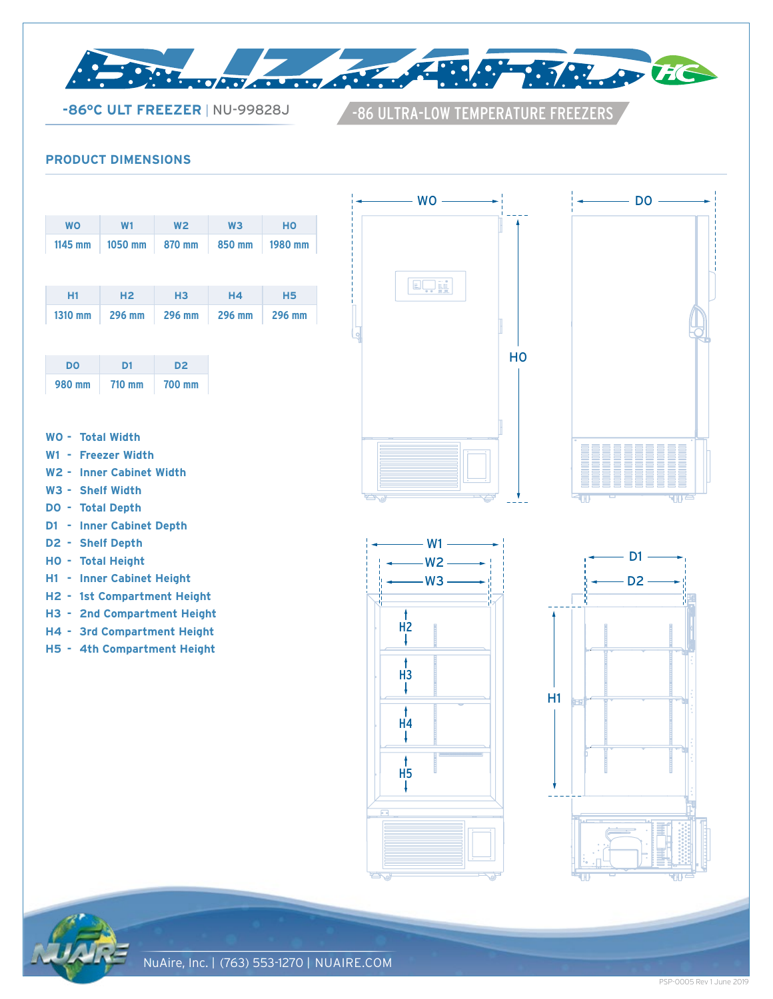

**-86°C ULT FREEZER | NU-99828J 486 ULTRA-LOW TEMPERATURE FREEZERS** 

# **PRODUCT DIMENSIONS**

| <b>WO</b> | W <sub>1</sub> | W <sub>2</sub> | W <sub>3</sub> | HO        |
|-----------|----------------|----------------|----------------|-----------|
| 1145 mm   | 1050 mm        | 870 mm         | 850 mm         | 1980 mm   |
|           |                |                |                |           |
|           |                |                |                |           |
| H1        | H <sub>2</sub> | H <sub>3</sub> | <b>H4</b>      | <b>H5</b> |
| 1310 mm   | 296 mm         | 296 mm         | 296 mm         | 296 mm    |
|           |                |                |                |           |

| DO     | D1     | D2     |  |  |
|--------|--------|--------|--|--|
| 980 mm | 710 mm | 700 mm |  |  |

- **W0 Total Width**
- **W1 Freezer Width**
- **W2 - Inner Cabinet Width**
- **W3 - Shelf Width**
- **D0 - Total Depth**
- **D1 Inner Cabinet Depth**
- **D2 - Shelf Depth**
- **H0 - Total Height**
- **H1 - Inner Cabinet Height**
- **H2 - 1st Compartment Height**
- **H3 2nd Compartment Height**
- **H4 - 3rd Compartment Height**
- **H5 - 4th Compartment Height**











PSP-0005 Rev 1 June 2019